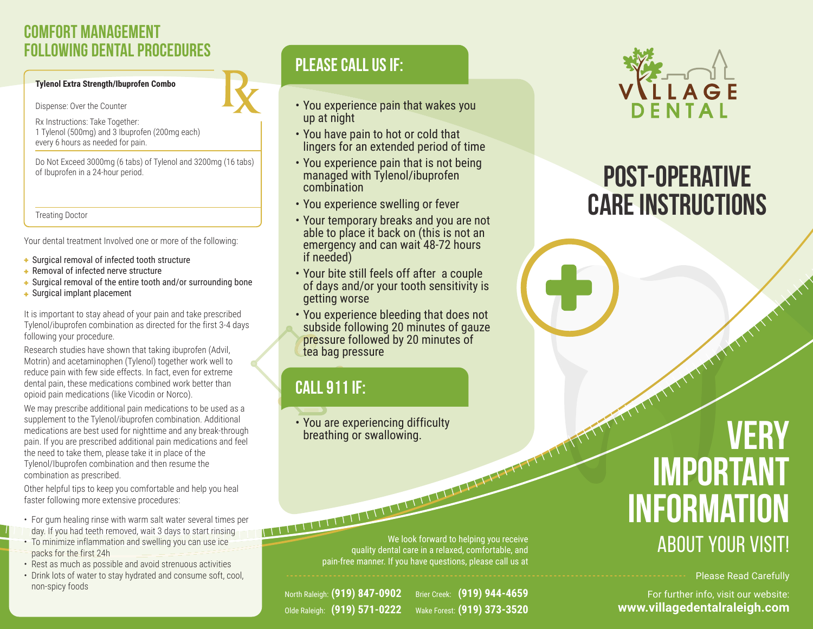## **Comfort Management Following Dental Procedures**

#### **Tylenol Extra Strength/Ibuprofen Combo**

Dispense: Over the Counter

Rx Instructions: Take Together: 1 Tylenol (500mg) and 3 Ibuprofen (200mg each) every 6 hours as needed for pain.

Do Not Exceed 3000mg (6 tabs) of Tylenol and 3200mg (16 tabs) of Ibuprofen in a 24-hour period.

Treating Doctor

Your dental treatment Involved one or more of the following:

- Surgical removal of infected tooth structure
- Removal of infected nerve structure
- Surgical removal of the entire tooth and/or surrounding bone
- Surgical implant placement

It is important to stay ahead of your pain and take prescribed Tylenol/ibuprofen combination as directed for the first 3-4 days following your procedure.

Research studies have shown that taking ibuprofen (Advil, Motrin) and acetaminophen (Tylenol) together work well to reduce pain with few side effects. In fact, even for extreme dental pain, these medications combined work better than opioid pain medications (like Vicodin or Norco).

We may prescribe additional pain medications to be used as a supplement to the Tylenol/ibuprofen combination. Additional medications are best used for nighttime and any break-through pain. If you are prescribed additional pain medications and feel the need to take them, please take it in place of the Tylenol/Ibuprofen combination and then resume the combination as prescribed.

Other helpful tips to keep you comfortable and help you heal faster following more extensive procedures:

- For gum healing rinse with warm salt water several times per
- day. If you had teeth removed, wait 3 days to start rinsing • To minimize inflammation and swelling you can use ice
- packs for the first 24h
- Rest as much as possible and avoid strenuous activities
- Drink lots of water to stay hydrated and consume soft, cool, non-spicy foods

## **Please call us if:**

- You experience pain that wakes you up at night
- You have pain to hot or cold that lingers for an extended period of time
- You experience pain that is not being managed with Tylenol/ibuprofen combination
- You experience swelling or fever
- Your temporary breaks and you are not able to place it back on (this is not an emergency and can wait 48-72 hours if needed)
- Your bite still feels off after a couple of days and/or your tooth sensitivity is getting worse
- You experience bleeding that does not subside following 20 minutes of gauze pressure followed by 20 minutes of tea bag pressure

# **Call 911 IF:**

• You are experiencing difficulty breathing or swallowing.

> We look forward to helping you receive quality dental care in a relaxed, comfortable, and pain-free manner. If you have questions, please call us at

North Raleigh: **(919) 847-0902** Olde Raleigh: **(919) 571-0222** Brier Creek: **(919) 944-4659** Wake Forest: **(919) 373-3520**



# **Post-Operative Care Instructions**

# **Very important information** About YOUR VISIT!

Please Read Carefully

For further info, visit our website: **www.villagedentalraleigh.com**